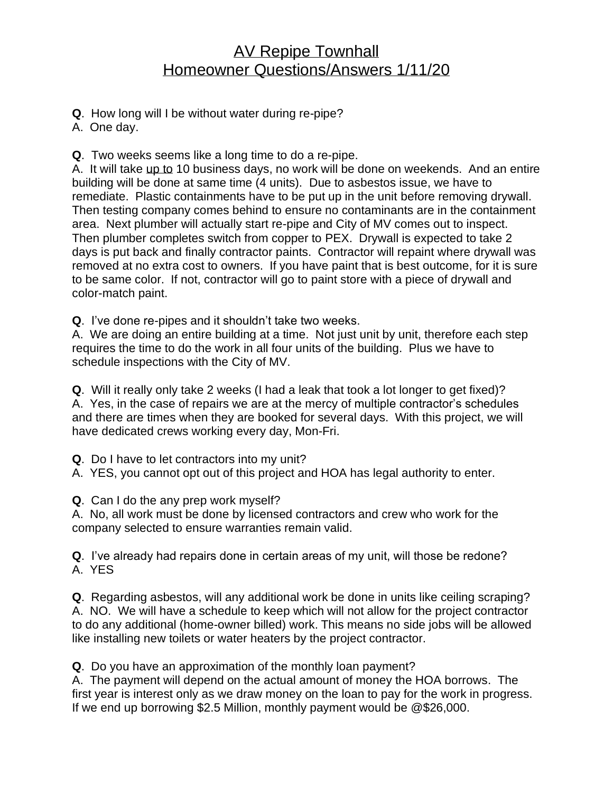## AV Repipe Townhall Homeowner Questions/Answers 1/11/20

**Q**. How long will I be without water during re-pipe?

A. One day.

**Q**. Two weeks seems like a long time to do a re-pipe.

A. It will take up to 10 business days, no work will be done on weekends. And an entire building will be done at same time (4 units). Due to asbestos issue, we have to remediate. Plastic containments have to be put up in the unit before removing drywall. Then testing company comes behind to ensure no contaminants are in the containment area. Next plumber will actually start re-pipe and City of MV comes out to inspect. Then plumber completes switch from copper to PEX. Drywall is expected to take 2 days is put back and finally contractor paints. Contractor will repaint where drywall was removed at no extra cost to owners. If you have paint that is best outcome, for it is sure to be same color. If not, contractor will go to paint store with a piece of drywall and color-match paint.

**Q**. I've done re-pipes and it shouldn't take two weeks.

A. We are doing an entire building at a time. Not just unit by unit, therefore each step requires the time to do the work in all four units of the building. Plus we have to schedule inspections with the City of MV.

**Q**. Will it really only take 2 weeks (I had a leak that took a lot longer to get fixed)? A. Yes, in the case of repairs we are at the mercy of multiple contractor's schedules and there are times when they are booked for several days. With this project, we will have dedicated crews working every day, Mon-Fri.

**Q**. Do I have to let contractors into my unit?

A. YES, you cannot opt out of this project and HOA has legal authority to enter.

**Q**. Can I do the any prep work myself?

A. No, all work must be done by licensed contractors and crew who work for the company selected to ensure warranties remain valid.

**Q**. I've already had repairs done in certain areas of my unit, will those be redone? A. YES

**Q**. Regarding asbestos, will any additional work be done in units like ceiling scraping? A. NO. We will have a schedule to keep which will not allow for the project contractor to do any additional (home-owner billed) work. This means no side jobs will be allowed like installing new toilets or water heaters by the project contractor.

**Q**. Do you have an approximation of the monthly loan payment?

A. The payment will depend on the actual amount of money the HOA borrows. The first year is interest only as we draw money on the loan to pay for the work in progress. If we end up borrowing \$2.5 Million, monthly payment would be @\$26,000.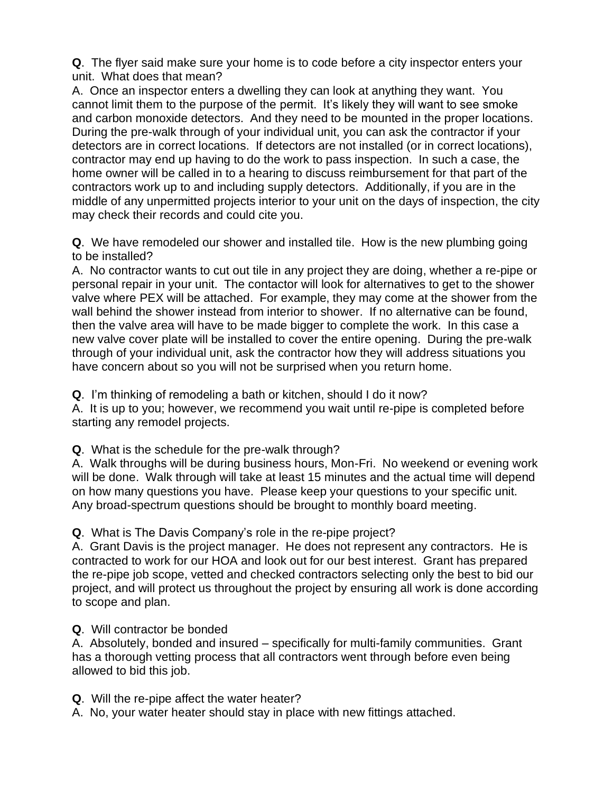**Q**. The flyer said make sure your home is to code before a city inspector enters your unit. What does that mean?

A. Once an inspector enters a dwelling they can look at anything they want. You cannot limit them to the purpose of the permit. It's likely they will want to see smoke and carbon monoxide detectors. And they need to be mounted in the proper locations. During the pre-walk through of your individual unit, you can ask the contractor if your detectors are in correct locations. If detectors are not installed (or in correct locations), contractor may end up having to do the work to pass inspection. In such a case, the home owner will be called in to a hearing to discuss reimbursement for that part of the contractors work up to and including supply detectors. Additionally, if you are in the middle of any unpermitted projects interior to your unit on the days of inspection, the city may check their records and could cite you.

**Q**. We have remodeled our shower and installed tile. How is the new plumbing going to be installed?

A. No contractor wants to cut out tile in any project they are doing, whether a re-pipe or personal repair in your unit. The contactor will look for alternatives to get to the shower valve where PEX will be attached. For example, they may come at the shower from the wall behind the shower instead from interior to shower. If no alternative can be found, then the valve area will have to be made bigger to complete the work. In this case a new valve cover plate will be installed to cover the entire opening. During the pre-walk through of your individual unit, ask the contractor how they will address situations you have concern about so you will not be surprised when you return home.

**Q**. I'm thinking of remodeling a bath or kitchen, should I do it now?

A. It is up to you; however, we recommend you wait until re-pipe is completed before starting any remodel projects.

**Q**. What is the schedule for the pre-walk through?

A. Walk throughs will be during business hours, Mon-Fri. No weekend or evening work will be done. Walk through will take at least 15 minutes and the actual time will depend on how many questions you have. Please keep your questions to your specific unit. Any broad-spectrum questions should be brought to monthly board meeting.

**Q**. What is The Davis Company's role in the re-pipe project?

A. Grant Davis is the project manager. He does not represent any contractors. He is contracted to work for our HOA and look out for our best interest. Grant has prepared the re-pipe job scope, vetted and checked contractors selecting only the best to bid our project, and will protect us throughout the project by ensuring all work is done according to scope and plan.

## **Q**. Will contractor be bonded

A. Absolutely, bonded and insured – specifically for multi-family communities. Grant has a thorough vetting process that all contractors went through before even being allowed to bid this job.

**Q**. Will the re-pipe affect the water heater?

A. No, your water heater should stay in place with new fittings attached.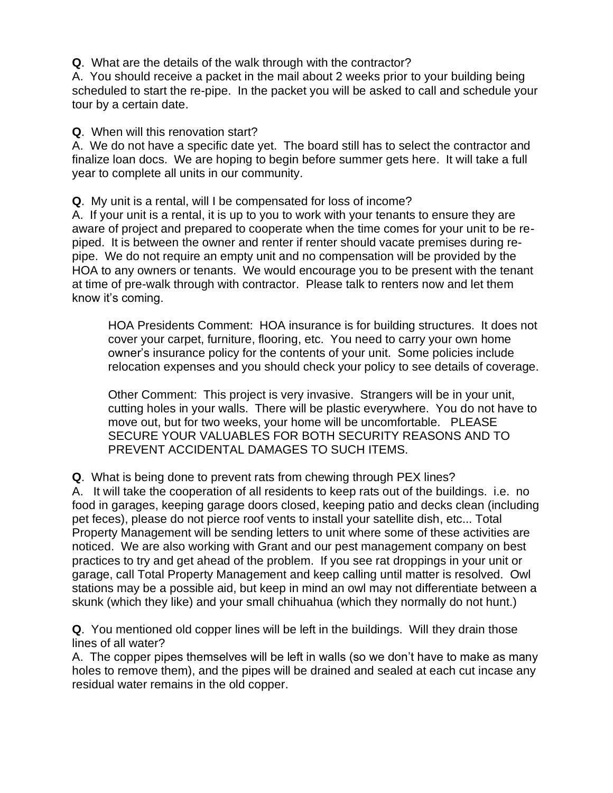**Q**. What are the details of the walk through with the contractor?

A. You should receive a packet in the mail about 2 weeks prior to your building being scheduled to start the re-pipe. In the packet you will be asked to call and schedule your tour by a certain date.

**Q**. When will this renovation start?

A. We do not have a specific date yet. The board still has to select the contractor and finalize loan docs. We are hoping to begin before summer gets here. It will take a full year to complete all units in our community.

**Q**. My unit is a rental, will I be compensated for loss of income?

A. If your unit is a rental, it is up to you to work with your tenants to ensure they are aware of project and prepared to cooperate when the time comes for your unit to be repiped. It is between the owner and renter if renter should vacate premises during repipe. We do not require an empty unit and no compensation will be provided by the HOA to any owners or tenants. We would encourage you to be present with the tenant at time of pre-walk through with contractor. Please talk to renters now and let them know it's coming.

HOA Presidents Comment: HOA insurance is for building structures. It does not cover your carpet, furniture, flooring, etc. You need to carry your own home owner's insurance policy for the contents of your unit. Some policies include relocation expenses and you should check your policy to see details of coverage.

Other Comment: This project is very invasive. Strangers will be in your unit, cutting holes in your walls. There will be plastic everywhere. You do not have to move out, but for two weeks, your home will be uncomfortable. PLEASE SECURE YOUR VALUABLES FOR BOTH SECURITY REASONS AND TO PREVENT ACCIDENTAL DAMAGES TO SUCH ITEMS.

**Q**. What is being done to prevent rats from chewing through PEX lines?

A. It will take the cooperation of all residents to keep rats out of the buildings. i.e. no food in garages, keeping garage doors closed, keeping patio and decks clean (including pet feces), please do not pierce roof vents to install your satellite dish, etc... Total Property Management will be sending letters to unit where some of these activities are noticed. We are also working with Grant and our pest management company on best practices to try and get ahead of the problem. If you see rat droppings in your unit or garage, call Total Property Management and keep calling until matter is resolved. Owl stations may be a possible aid, but keep in mind an owl may not differentiate between a skunk (which they like) and your small chihuahua (which they normally do not hunt.)

**Q**. You mentioned old copper lines will be left in the buildings. Will they drain those lines of all water?

A. The copper pipes themselves will be left in walls (so we don't have to make as many holes to remove them), and the pipes will be drained and sealed at each cut incase any residual water remains in the old copper.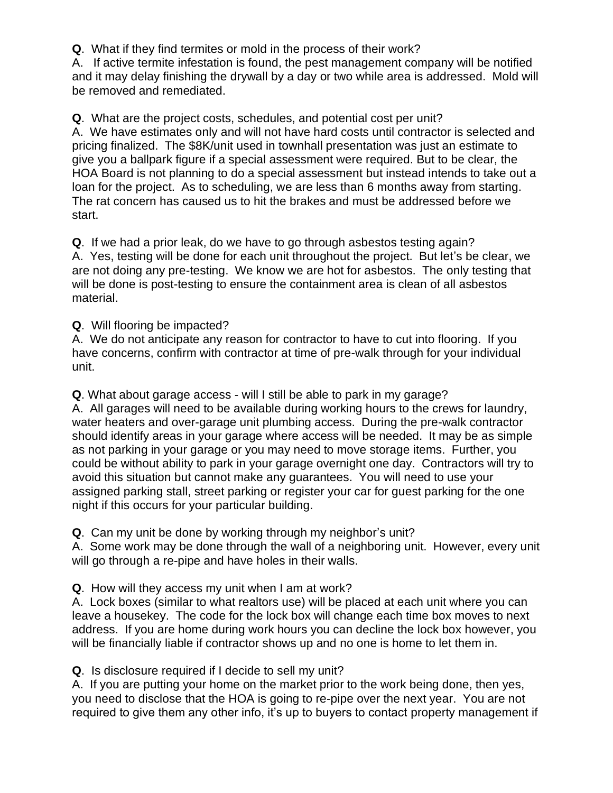**Q**. What if they find termites or mold in the process of their work?

A. If active termite infestation is found, the pest management company will be notified and it may delay finishing the drywall by a day or two while area is addressed. Mold will be removed and remediated.

**Q**. What are the project costs, schedules, and potential cost per unit? A. We have estimates only and will not have hard costs until contractor is selected and pricing finalized. The \$8K/unit used in townhall presentation was just an estimate to give you a ballpark figure if a special assessment were required. But to be clear, the HOA Board is not planning to do a special assessment but instead intends to take out a loan for the project. As to scheduling, we are less than 6 months away from starting. The rat concern has caused us to hit the brakes and must be addressed before we start.

**Q**. If we had a prior leak, do we have to go through asbestos testing again? A. Yes, testing will be done for each unit throughout the project. But let's be clear, we are not doing any pre-testing. We know we are hot for asbestos. The only testing that will be done is post-testing to ensure the containment area is clean of all asbestos material.

**Q**. Will flooring be impacted?

A. We do not anticipate any reason for contractor to have to cut into flooring. If you have concerns, confirm with contractor at time of pre-walk through for your individual unit.

**Q**. What about garage access - will I still be able to park in my garage?

A. All garages will need to be available during working hours to the crews for laundry, water heaters and over-garage unit plumbing access. During the pre-walk contractor should identify areas in your garage where access will be needed. It may be as simple as not parking in your garage or you may need to move storage items. Further, you could be without ability to park in your garage overnight one day. Contractors will try to avoid this situation but cannot make any guarantees. You will need to use your assigned parking stall, street parking or register your car for guest parking for the one night if this occurs for your particular building.

**Q**. Can my unit be done by working through my neighbor's unit?

A. Some work may be done through the wall of a neighboring unit. However, every unit will go through a re-pipe and have holes in their walls.

**Q**. How will they access my unit when I am at work?

A. Lock boxes (similar to what realtors use) will be placed at each unit where you can leave a housekey. The code for the lock box will change each time box moves to next address. If you are home during work hours you can decline the lock box however, you will be financially liable if contractor shows up and no one is home to let them in.

**Q**. Is disclosure required if I decide to sell my unit?

A. If you are putting your home on the market prior to the work being done, then yes, you need to disclose that the HOA is going to re-pipe over the next year. You are not required to give them any other info, it's up to buyers to contact property management if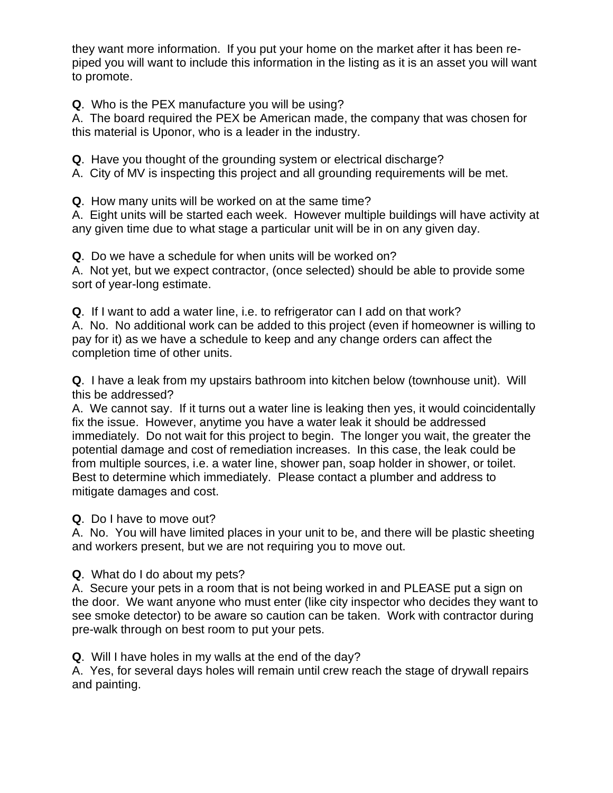they want more information. If you put your home on the market after it has been repiped you will want to include this information in the listing as it is an asset you will want to promote.

**Q**. Who is the PEX manufacture you will be using?

A. The board required the PEX be American made, the company that was chosen for this material is Uponor, who is a leader in the industry.

**Q**. Have you thought of the grounding system or electrical discharge?

A. City of MV is inspecting this project and all grounding requirements will be met.

**Q**. How many units will be worked on at the same time?

A. Eight units will be started each week. However multiple buildings will have activity at any given time due to what stage a particular unit will be in on any given day.

**Q**. Do we have a schedule for when units will be worked on?

A. Not yet, but we expect contractor, (once selected) should be able to provide some sort of year-long estimate.

**Q**. If I want to add a water line, i.e. to refrigerator can I add on that work? A. No. No additional work can be added to this project (even if homeowner is willing to pay for it) as we have a schedule to keep and any change orders can affect the completion time of other units.

**Q**. I have a leak from my upstairs bathroom into kitchen below (townhouse unit). Will this be addressed?

A. We cannot say. If it turns out a water line is leaking then yes, it would coincidentally fix the issue. However, anytime you have a water leak it should be addressed immediately. Do not wait for this project to begin. The longer you wait, the greater the potential damage and cost of remediation increases. In this case, the leak could be from multiple sources, i.e. a water line, shower pan, soap holder in shower, or toilet. Best to determine which immediately. Please contact a plumber and address to mitigate damages and cost.

**Q**. Do I have to move out?

A. No. You will have limited places in your unit to be, and there will be plastic sheeting and workers present, but we are not requiring you to move out.

**Q**. What do I do about my pets?

A. Secure your pets in a room that is not being worked in and PLEASE put a sign on the door. We want anyone who must enter (like city inspector who decides they want to see smoke detector) to be aware so caution can be taken. Work with contractor during pre-walk through on best room to put your pets.

**Q**. Will I have holes in my walls at the end of the day?

A. Yes, for several days holes will remain until crew reach the stage of drywall repairs and painting.